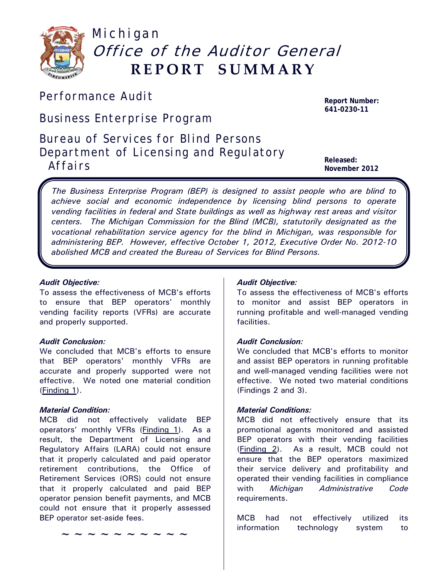

# Michigan Office of the Auditor General **REPORT SUMMARY**

# *Performance Audit* **Report Number:**

*Business Enterprise Program*

*Bureau of Services for Blind Persons Department of Licensing and Regulatory*  **Affairs Released:**<br>Affairs **Released:** 

**641-0230-11**

**November 2012**

L

*The Business Enterprise Program (BEP) is designed to assist people who are blind to achieve social and economic independence by licensing blind persons to operate vending facilities in federal and State buildings as well as highway rest areas and visitor centers. The Michigan Commission for the Blind (MCB), statutorily designated as the vocational rehabilitation service agency for the blind in Michigan, was responsible for administering BEP. However, effective October 1, 2012, Executive Order No. 2012-10 abolished MCB and created the Bureau of Services for Blind Persons.*

# *Audit Objective:*

To assess the effectiveness of MCB's efforts to ensure that BEP operators' monthly vending facility reports (VFRs) are accurate and properly supported.

# *Audit Conclusion:*

We concluded that MCB's efforts to ensure that BEP operators' monthly VFRs are accurate and properly supported were not effective. We noted one material condition (Finding 1).

# *Material Condition:*

MCB did not effectively validate BEP operators' monthly VFRs (Finding 1). As a result, the Department of Licensing and Regulatory Affairs (LARA) could not ensure that it properly calculated and paid operator retirement contributions, the Office of Retirement Services (ORS) could not ensure that it properly calculated and paid BEP operator pension benefit payments, and MCB could not ensure that it properly assessed BEP operator set-aside fees.

**~~~~~~~~~~**

# *Audit Objective:*

To assess the effectiveness of MCB's efforts to monitor and assist BEP operators in running profitable and well-managed vending facilities.

# *Audit Conclusion:*

We concluded that MCB's efforts to monitor and assist BEP operators in running profitable and well-managed vending facilities were not effective. We noted two material conditions (Findings 2 and 3).

# *Material Conditions:*

MCB did not effectively ensure that its promotional agents monitored and assisted BEP operators with their vending facilities (Finding 2). As a result, MCB could not ensure that the BEP operators maximized their service delivery and profitability and operated their vending facilities in compliance with *Michigan Administrative Code*  requirements.

MCB had not effectively utilized its information technology system to